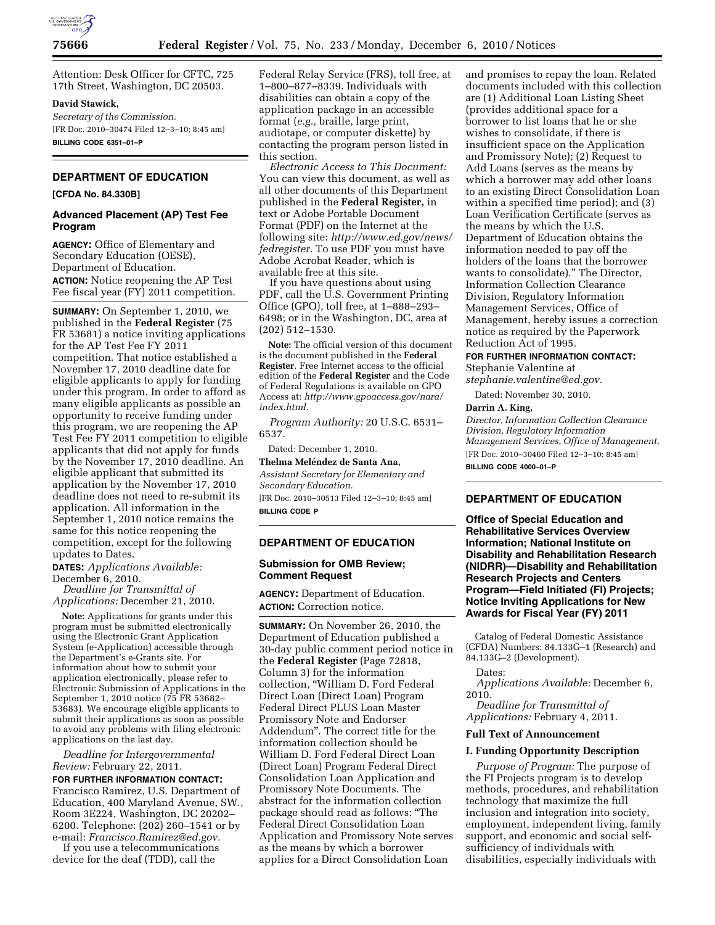

Attention: Desk Officer for CFTC, 725 17th Street, Washington, DC 20503.

### **David Stawick,**

*Secretary of the Commission.*  [FR Doc. 2010–30474 Filed 12–3–10; 8:45 am] **BILLING CODE 6351–01–P** 

## **DEPARTMENT OF EDUCATION**

## **[CFDA No. 84.330B]**

# **Advanced Placement (AP) Test Fee Program**

**AGENCY:** Office of Elementary and Secondary Education (OESE), Department of Education. **ACTION:** Notice reopening the AP Test Fee fiscal year (FY) 2011 competition.

**SUMMARY:** On September 1, 2010, we published in the **Federal Register** (75 FR 53681) a notice inviting applications for the AP Test Fee FY 2011 competition. That notice established a November 17, 2010 deadline date for eligible applicants to apply for funding under this program. In order to afford as many eligible applicants as possible an opportunity to receive funding under this program, we are reopening the AP Test Fee FY 2011 competition to eligible applicants that did not apply for funds by the November 17, 2010 deadline. An eligible applicant that submitted its application by the November 17, 2010 deadline does not need to re-submit its application. All information in the September 1, 2010 notice remains the same for this notice reopening the competition, except for the following updates to Dates.

**DATES:** *Applications Available:*  December 6, 2010.

*Deadline for Transmittal of Applications:* December 21, 2010.

**Note:** Applications for grants under this program must be submitted electronically using the Electronic Grant Application System (e-Application) accessible through the Department's e-Grants site. For information about how to submit your application electronically, please refer to Electronic Submission of Applications in the September 1, 2010 notice (75 FR 53682– 53683). We encourage eligible applicants to submit their applications as soon as possible to avoid any problems with filing electronic applications on the last day.

*Deadline for Intergovernmental Review:* February 22, 2011.

**FOR FURTHER INFORMATION CONTACT:**  Francisco Ramirez, U.S. Department of Education, 400 Maryland Avenue, SW., Room 3E224, Washington, DC 20202– 6200. Telephone: (202) 260–1541 or by e-mail: *[Francisco.Ramirez@ed.gov.](mailto:Francisco.Ramirez@ed.gov)* 

If you use a telecommunications device for the deaf (TDD), call the

Federal Relay Service (FRS), toll free, at 1–800–877–8339. Individuals with disabilities can obtain a copy of the application package in an accessible format (*e.g.,* braille, large print, audiotape, or computer diskette) by contacting the program person listed in this section.

*Electronic Access to This Document:*  You can view this document, as well as all other documents of this Department published in the **Federal Register,** in text or Adobe Portable Document Format (PDF) on the Internet at the following site: *[http://www.ed.gov/news/](http://www.ed.gov/news/fedregister) [fedregister.](http://www.ed.gov/news/fedregister)* To use PDF you must have Adobe Acrobat Reader, which is available free at this site.

If you have questions about using PDF, call the U.S. Government Printing Office (GPO), toll free, at 1–888–293– 6498; or in the Washington, DC, area at (202) 512–1530.

**Note:** The official version of this document is the document published in the **Federal Register**. Free Internet access to the official edition of the **Federal Register** and the Code of Federal Regulations is available on GPO Access at: *[http://www.gpoaccess.gov/nara/](http://www.gpoaccess.gov/nara/index.html) [index.html.](http://www.gpoaccess.gov/nara/index.html)* 

*Program Authority:* 20 U.S.C. 6531– 6537.

Dated: December 1, 2010. **Thelma Meléndez de Santa Ana,** 

*Assistant Secretary for Elementary and Secondary Education.*  [FR Doc. 2010–30513 Filed 12–3–10; 8:45 am] **BILLING CODE P** 

# **DEPARTMENT OF EDUCATION**

# **Submission for OMB Review; Comment Request**

**AGENCY:** Department of Education. **ACTION:** Correction notice.

**SUMMARY:** On November 26, 2010, the Department of Education published a 30-day public comment period notice in the **Federal Register** (Page 72818, Column 3) for the information collection, ''William D. Ford Federal Direct Loan (Direct Loan) Program Federal Direct PLUS Loan Master Promissory Note and Endorser Addendum''. The correct title for the information collection should be William D. Ford Federal Direct Loan (Direct Loan) Program Federal Direct Consolidation Loan Application and Promissory Note Documents. The abstract for the information collection package should read as follows: ''The Federal Direct Consolidation Loan Application and Promissory Note serves as the means by which a borrower applies for a Direct Consolidation Loan

and promises to repay the loan. Related documents included with this collection are (1) Additional Loan Listing Sheet (provides additional space for a borrower to list loans that he or she wishes to consolidate, if there is insufficient space on the Application and Promissory Note); (2) Request to Add Loans (serves as the means by which a borrower may add other loans to an existing Direct Consolidation Loan within a specified time period); and (3) Loan Verification Certificate (serves as the means by which the U.S. Department of Education obtains the information needed to pay off the holders of the loans that the borrower wants to consolidate).'' The Director, Information Collection Clearance Division, Regulatory Information Management Services, Office of Management, hereby issues a correction notice as required by the Paperwork Reduction Act of 1995.

#### **FOR FURTHER INFORMATION CONTACT:**

Stephanie Valentine at *[stephanie.valentine@ed.gov.](mailto:stephanie.valentine@ed.gov)* 

Dated: November 30, 2010.

### **Darrin A. King,**

*Director, Information Collection Clearance Division, Regulatory Information Management Services, Office of Management.*  [FR Doc. 2010–30460 Filed 12–3–10; 8:45 am] **BILLING CODE 4000–01–P** 

# **DEPARTMENT OF EDUCATION**

**Office of Special Education and Rehabilitative Services Overview Information; National Institute on Disability and Rehabilitation Research (NIDRR)—Disability and Rehabilitation Research Projects and Centers Program—Field Initiated (FI) Projects; Notice Inviting Applications for New Awards for Fiscal Year (FY) 2011** 

Catalog of Federal Domestic Assistance (CFDA) Numbers: 84.133G–1 (Research) and 84.133G–2 (Development).

Dates:

*Applications Available:* December 6, 2010.

*Deadline for Transmittal of Applications:* February 4, 2011.

#### **Full Text of Announcement**

## **I. Funding Opportunity Description**

*Purpose of Program:* The purpose of the FI Projects program is to develop methods, procedures, and rehabilitation technology that maximize the full inclusion and integration into society, employment, independent living, family support, and economic and social selfsufficiency of individuals with disabilities, especially individuals with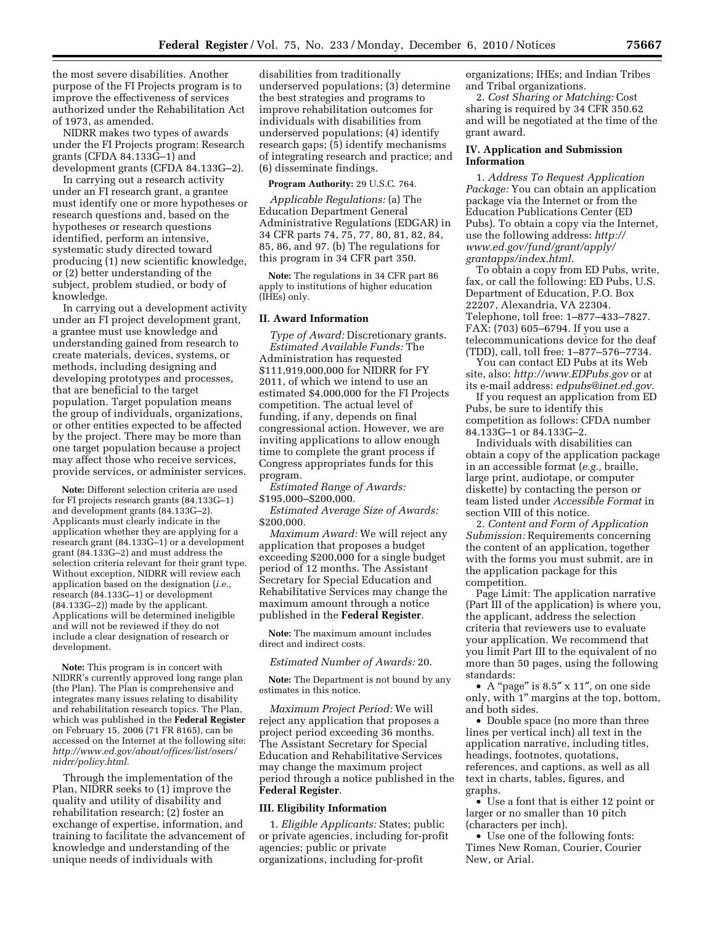the most severe disabilities. Another purpose of the FI Projects program is to improve the effectiveness of services authorized under the Rehabilitation Act of 1973, as amended.

NIDRR makes two types of awards under the FI Projects program: Research grants (CFDA 84.133G–1) and development grants (CFDA 84.133G–2).

In carrying out a research activity under an FI research grant, a grantee must identify one or more hypotheses or research questions and, based on the hypotheses or research questions identified, perform an intensive, systematic study directed toward producing (1) new scientific knowledge, or (2) better understanding of the subject, problem studied, or body of knowledge.

In carrying out a development activity under an FI project development grant, a grantee must use knowledge and understanding gained from research to create materials, devices, systems, or methods, including designing and developing prototypes and processes, that are beneficial to the target population. Target population means the group of individuals, organizations, or other entities expected to be affected by the project. There may be more than one target population because a project may affect those who receive services, provide services, or administer services.

**Note:** Different selection criteria are used for FI projects research grants (84.133G–1) and development grants (84.133G–2). Applicants must clearly indicate in the application whether they are applying for a research grant (84.133G–1) or a development grant (84.133G–2) and must address the selection criteria relevant for their grant type. Without exception, NIDRR will review each application based on the designation (*i.e.,*  research (84.133G–1) or development (84.133G–2)) made by the applicant. Applications will be determined ineligible and will not be reviewed if they do not include a clear designation of research or development.

**Note:** This program is in concert with NIDRR's currently approved long range plan (the Plan). The Plan is comprehensive and integrates many issues relating to disability and rehabilitation research topics. The Plan, which was published in the **Federal Register**  on February 15, 2006 (71 FR 8165), can be accessed on the Internet at the following site: *[http://www.ed.gov/about/offices/list/osers/](http://www.ed.gov/about/offices/list/osers/nidrr/policy.html)  [nidrr/policy.html.](http://www.ed.gov/about/offices/list/osers/nidrr/policy.html)* 

Through the implementation of the Plan, NIDRR seeks to (1) improve the quality and utility of disability and rehabilitation research; (2) foster an exchange of expertise, information, and training to facilitate the advancement of knowledge and understanding of the unique needs of individuals with

disabilities from traditionally underserved populations; (3) determine the best strategies and programs to improve rehabilitation outcomes for individuals with disabilities from underserved populations; (4) identify research gaps; (5) identify mechanisms of integrating research and practice; and (6) disseminate findings.

**Program Authority:** 29 U.S.C. 764.

*Applicable Regulations:* (a) The Education Department General Administrative Regulations (EDGAR) in 34 CFR parts 74, 75, 77, 80, 81, 82, 84, 85, 86, and 97. (b) The regulations for this program in 34 CFR part 350.

**Note:** The regulations in 34 CFR part 86 apply to institutions of higher education (IHEs) only.

## **II. Award Information**

*Type of Award:* Discretionary grants. *Estimated Available Funds:* The Administration has requested \$111,919,000,000 for NIDRR for FY 2011, of which we intend to use an estimated \$4,000,000 for the FI Projects competition. The actual level of funding, if any, depends on final congressional action. However, we are inviting applications to allow enough time to complete the grant process if Congress appropriates funds for this program.

*Estimated Range of Awards:*  \$195,000–\$200,000.

*Estimated Average Size of Awards:*  \$200,000.

*Maximum Award:* We will reject any application that proposes a budget exceeding \$200,000 for a single budget period of 12 months. The Assistant Secretary for Special Education and Rehabilitative Services may change the maximum amount through a notice published in the **Federal Register**.

**Note:** The maximum amount includes direct and indirect costs.

*Estimated Number of Awards:* 20.

**Note:** The Department is not bound by any estimates in this notice.

*Maximum Project Period:* We will reject any application that proposes a project period exceeding 36 months. The Assistant Secretary for Special Education and Rehabilitative Services may change the maximum project period through a notice published in the **Federal Register**.

## **III. Eligibility Information**

1. *Eligible Applicants:* States; public or private agencies, including for-profit agencies; public or private organizations, including for-profit

organizations; IHEs; and Indian Tribes and Tribal organizations.

2. *Cost Sharing or Matching:* Cost sharing is required by 34 CFR 350.62 and will be negotiated at the time of the grant award.

## **IV. Application and Submission Information**

1. *Address To Request Application Package:* You can obtain an application package via the Internet or from the Education Publications Center (ED Pubs). To obtain a copy via the Internet, use the following address: *[http://](http://www.ed.gov/fund/grant/apply/grantapps/index.html)  [www.ed.gov/fund/grant/apply/](http://www.ed.gov/fund/grant/apply/grantapps/index.html) [grantapps/index.html.](http://www.ed.gov/fund/grant/apply/grantapps/index.html)* 

To obtain a copy from ED Pubs, write, fax, or call the following: ED Pubs, U.S. Department of Education, P.O. Box 22207, Alexandria, VA 22304. Telephone, toll free: 1–877–433–7827. FAX: (703) 605–6794. If you use a telecommunications device for the deaf (TDD), call, toll free: 1–877–576–7734.

You can contact ED Pubs at its Web site, also: *<http://www.EDPubs.gov>* or at its e-mail address: *[edpubs@inet.ed.gov.](mailto:edpubs@inet.ed.gov)* 

If you request an application from ED Pubs, be sure to identify this competition as follows: CFDA number 84.133G–1 or 84.133G–2.

Individuals with disabilities can obtain a copy of the application package in an accessible format (*e.g.,* braille, large print, audiotape, or computer diskette) by contacting the person or team listed under *Accessible Format* in section VIII of this notice.

2. *Content and Form of Application Submission:* Requirements concerning the content of an application, together with the forms you must submit, are in the application package for this competition.

Page Limit: The application narrative (Part III of the application) is where you, the applicant, address the selection criteria that reviewers use to evaluate your application. We recommend that you limit Part III to the equivalent of no more than 50 pages, using the following standards:

• A "page" is 8.5" x 11", on one side only, with 1'' margins at the top, bottom, and both sides.

• Double space (no more than three lines per vertical inch) all text in the application narrative, including titles, headings, footnotes, quotations, references, and captions, as well as all text in charts, tables, figures, and graphs.

• Use a font that is either 12 point or larger or no smaller than 10 pitch (characters per inch).

• Use one of the following fonts: Times New Roman, Courier, Courier New, or Arial.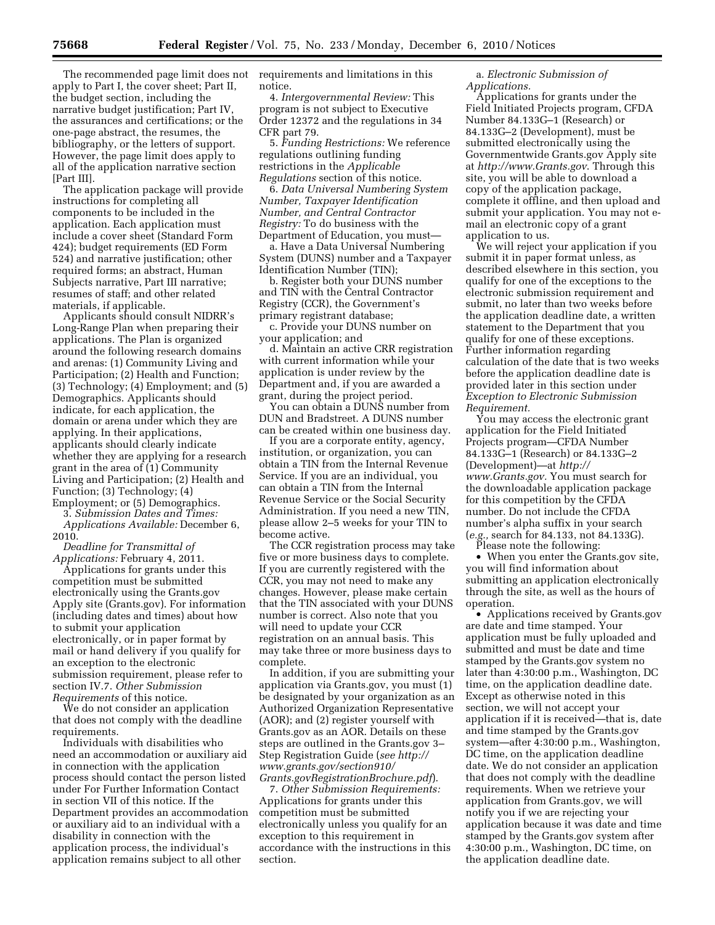The recommended page limit does not requirements and limitations in this apply to Part I, the cover sheet; Part II, the budget section, including the narrative budget justification; Part IV, the assurances and certifications; or the one-page abstract, the resumes, the bibliography, or the letters of support. However, the page limit does apply to all of the application narrative section [Part III].

The application package will provide instructions for completing all components to be included in the application. Each application must include a cover sheet (Standard Form 424); budget requirements (ED Form 524) and narrative justification; other required forms; an abstract, Human Subjects narrative, Part III narrative; resumes of staff; and other related materials, if applicable.

Applicants should consult NIDRR's Long-Range Plan when preparing their applications. The Plan is organized around the following research domains and arenas: (1) Community Living and Participation; (2) Health and Function; (3) Technology; (4) Employment; and (5) Demographics. Applicants should indicate, for each application, the domain or arena under which they are applying. In their applications, applicants should clearly indicate whether they are applying for a research grant in the area of (1) Community Living and Participation; (2) Health and Function; (3) Technology; (4) Employment; or (5) Demographics.

3. *Submission Dates and Times:* 

*Applications Available:* December 6, 2010.

*Deadline for Transmittal of Applications:* February 4, 2011.

Applications for grants under this competition must be submitted electronically using the Grants.gov Apply site (Grants.gov). For information (including dates and times) about how to submit your application electronically, or in paper format by mail or hand delivery if you qualify for an exception to the electronic submission requirement, please refer to section IV.7. *Other Submission Requirements* of this notice.

We do not consider an application that does not comply with the deadline requirements.

Individuals with disabilities who need an accommodation or auxiliary aid in connection with the application process should contact the person listed under For Further Information Contact in section VII of this notice. If the Department provides an accommodation or auxiliary aid to an individual with a disability in connection with the application process, the individual's application remains subject to all other

notice.

4. *Intergovernmental Review:* This program is not subject to Executive Order 12372 and the regulations in 34 CFR part 79.

5. *Funding Restrictions:* We reference regulations outlining funding restrictions in the *Applicable Regulations* section of this notice.

6. *Data Universal Numbering System Number, Taxpayer Identification Number, and Central Contractor Registry:* To do business with the Department of Education, you must—

a. Have a Data Universal Numbering System (DUNS) number and a Taxpayer Identification Number (TIN);

b. Register both your DUNS number and TIN with the Central Contractor Registry (CCR), the Government's primary registrant database;

c. Provide your DUNS number on your application; and

d. Maintain an active CRR registration with current information while your application is under review by the Department and, if you are awarded a grant, during the project period.

You can obtain a DUNS number from DUN and Bradstreet. A DUNS number can be created within one business day.

If you are a corporate entity, agency, institution, or organization, you can obtain a TIN from the Internal Revenue Service. If you are an individual, you can obtain a TIN from the Internal Revenue Service or the Social Security Administration. If you need a new TIN, please allow 2–5 weeks for your TIN to become active.

The CCR registration process may take five or more business days to complete. If you are currently registered with the CCR, you may not need to make any changes. However, please make certain that the TIN associated with your DUNS number is correct. Also note that you will need to update your CCR registration on an annual basis. This may take three or more business days to complete.

In addition, if you are submitting your application via Grants.gov, you must (1) be designated by your organization as an Authorized Organization Representative (AOR); and (2) register yourself with Grants.gov as an AOR. Details on these steps are outlined in the Grants.gov 3– Step Registration Guide (*see [http://](http://www.grants.gov/section910/Grants.govRegistrationBrochure.pdf) [www.grants.gov/section910/](http://www.grants.gov/section910/Grants.govRegistrationBrochure.pdf)  [Grants.govRegistrationBrochure.pdf](http://www.grants.gov/section910/Grants.govRegistrationBrochure.pdf)*).

7. *Other Submission Requirements:*  Applications for grants under this competition must be submitted electronically unless you qualify for an exception to this requirement in accordance with the instructions in this section.

a. *Electronic Submission of Applications.* 

Applications for grants under the Field Initiated Projects program, CFDA Number 84.133G–1 (Research) or 84.133G–2 (Development), must be submitted electronically using the Governmentwide Grants.gov Apply site at *<http://www.Grants.gov>*. Through this site, you will be able to download a copy of the application package, complete it offline, and then upload and submit your application. You may not email an electronic copy of a grant application to us.

We will reject your application if you submit it in paper format unless, as described elsewhere in this section, you qualify for one of the exceptions to the electronic submission requirement and submit, no later than two weeks before the application deadline date, a written statement to the Department that you qualify for one of these exceptions. Further information regarding calculation of the date that is two weeks before the application deadline date is provided later in this section under *Exception to Electronic Submission Requirement.* 

You may access the electronic grant application for the Field Initiated Projects program—CFDA Number 84.133G–1 (Research) or 84.133G–2 (Development)—at *[http://](http://www.Grants.gov) [www.Grants.gov.](http://www.Grants.gov)* You must search for the downloadable application package for this competition by the CFDA number. Do not include the CFDA number's alpha suffix in your search (*e.g.,* search for 84.133, not 84.133G).

Please note the following:

• When you enter the Grants.gov site, you will find information about submitting an application electronically through the site, as well as the hours of operation.

• Applications received by Grants.gov are date and time stamped. Your application must be fully uploaded and submitted and must be date and time stamped by the Grants.gov system no later than 4:30:00 p.m., Washington, DC time, on the application deadline date. Except as otherwise noted in this section, we will not accept your application if it is received—that is, date and time stamped by the Grants.gov system—after 4:30:00 p.m., Washington, DC time, on the application deadline date. We do not consider an application that does not comply with the deadline requirements. When we retrieve your application from Grants.gov, we will notify you if we are rejecting your application because it was date and time stamped by the Grants.gov system after 4:30:00 p.m., Washington, DC time, on the application deadline date.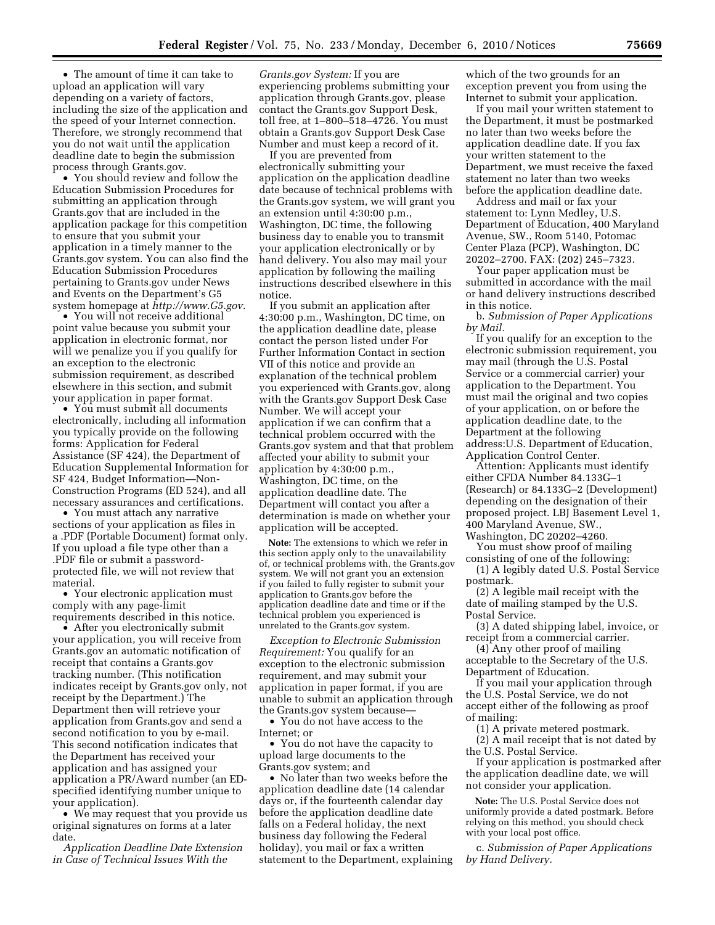• The amount of time it can take to upload an application will vary depending on a variety of factors, including the size of the application and the speed of your Internet connection. Therefore, we strongly recommend that you do not wait until the application deadline date to begin the submission process through Grants.gov.

• You should review and follow the Education Submission Procedures for submitting an application through Grants.gov that are included in the application package for this competition to ensure that you submit your application in a timely manner to the Grants.gov system. You can also find the Education Submission Procedures pertaining to Grants.gov under News and Events on the Department's G5 system homepage at *<http://www.G5.gov>*.

• You will not receive additional point value because you submit your application in electronic format, nor will we penalize you if you qualify for an exception to the electronic submission requirement, as described elsewhere in this section, and submit your application in paper format.

• You must submit all documents electronically, including all information you typically provide on the following forms: Application for Federal Assistance (SF 424), the Department of Education Supplemental Information for SF 424, Budget Information—Non-Construction Programs (ED 524), and all necessary assurances and certifications.

• You must attach any narrative sections of your application as files in a .PDF (Portable Document) format only. If you upload a file type other than a .PDF file or submit a passwordprotected file, we will not review that material.

• Your electronic application must comply with any page-limit requirements described in this notice.

• After you electronically submit your application, you will receive from Grants.gov an automatic notification of receipt that contains a Grants.gov tracking number. (This notification indicates receipt by Grants.gov only, not receipt by the Department.) The Department then will retrieve your application from Grants.gov and send a second notification to you by e-mail. This second notification indicates that the Department has received your application and has assigned your application a PR/Award number (an EDspecified identifying number unique to your application).

• We may request that you provide us original signatures on forms at a later date.

*Application Deadline Date Extension in Case of Technical Issues With the* 

*Grants.gov System:* If you are experiencing problems submitting your application through Grants.gov, please contact the Grants.gov Support Desk, toll free, at 1–800–518–4726. You must obtain a Grants.gov Support Desk Case Number and must keep a record of it.

If you are prevented from electronically submitting your application on the application deadline date because of technical problems with the Grants.gov system, we will grant you an extension until 4:30:00 p.m., Washington, DC time, the following business day to enable you to transmit your application electronically or by hand delivery. You also may mail your application by following the mailing instructions described elsewhere in this notice.

If you submit an application after 4:30:00 p.m., Washington, DC time, on the application deadline date, please contact the person listed under For Further Information Contact in section VII of this notice and provide an explanation of the technical problem you experienced with Grants.gov, along with the Grants.gov Support Desk Case Number. We will accept your application if we can confirm that a technical problem occurred with the Grants.gov system and that that problem affected your ability to submit your application by 4:30:00 p.m., Washington, DC time, on the application deadline date. The Department will contact you after a determination is made on whether your application will be accepted.

**Note:** The extensions to which we refer in this section apply only to the unavailability of, or technical problems with, the Grants.gov system. We will not grant you an extension if you failed to fully register to submit your application to Grants.gov before the application deadline date and time or if the technical problem you experienced is unrelated to the Grants.gov system.

*Exception to Electronic Submission Requirement:* You qualify for an exception to the electronic submission requirement, and may submit your application in paper format, if you are unable to submit an application through the Grants.gov system because—

• You do not have access to the Internet; or

• You do not have the capacity to upload large documents to the Grants.gov system; and

• No later than two weeks before the application deadline date (14 calendar days or, if the fourteenth calendar day before the application deadline date falls on a Federal holiday, the next business day following the Federal holiday), you mail or fax a written statement to the Department, explaining which of the two grounds for an exception prevent you from using the Internet to submit your application.

If you mail your written statement to the Department, it must be postmarked no later than two weeks before the application deadline date. If you fax your written statement to the Department, we must receive the faxed statement no later than two weeks before the application deadline date.

Address and mail or fax your statement to: Lynn Medley, U.S. Department of Education, 400 Maryland Avenue, SW., Room 5140, Potomac Center Plaza (PCP), Washington, DC 20202–2700. FAX: (202) 245–7323.

Your paper application must be submitted in accordance with the mail or hand delivery instructions described in this notice.

b. *Submission of Paper Applications by Mail.* 

If you qualify for an exception to the electronic submission requirement, you may mail (through the U.S. Postal Service or a commercial carrier) your application to the Department. You must mail the original and two copies of your application, on or before the application deadline date, to the Department at the following address:U.S. Department of Education, Application Control Center.

Attention: Applicants must identify either CFDA Number 84.133G–1 (Research) or 84.133G–2 (Development) depending on the designation of their proposed project. LBJ Basement Level 1, 400 Maryland Avenue, SW.,

Washington, DC 20202–4260. You must show proof of mailing

consisting of one of the following: (1) A legibly dated U.S. Postal Service

postmark. (2) A legible mail receipt with the date of mailing stamped by the U.S. Postal Service.

(3) A dated shipping label, invoice, or receipt from a commercial carrier.

(4) Any other proof of mailing acceptable to the Secretary of the U.S.

Department of Education.

If you mail your application through the U.S. Postal Service, we do not accept either of the following as proof of mailing:

(1) A private metered postmark.

(2) A mail receipt that is not dated by the U.S. Postal Service.

If your application is postmarked after the application deadline date, we will not consider your application.

**Note:** The U.S. Postal Service does not uniformly provide a dated postmark. Before relying on this method, you should check with your local post office.

c. *Submission of Paper Applications by Hand Delivery.*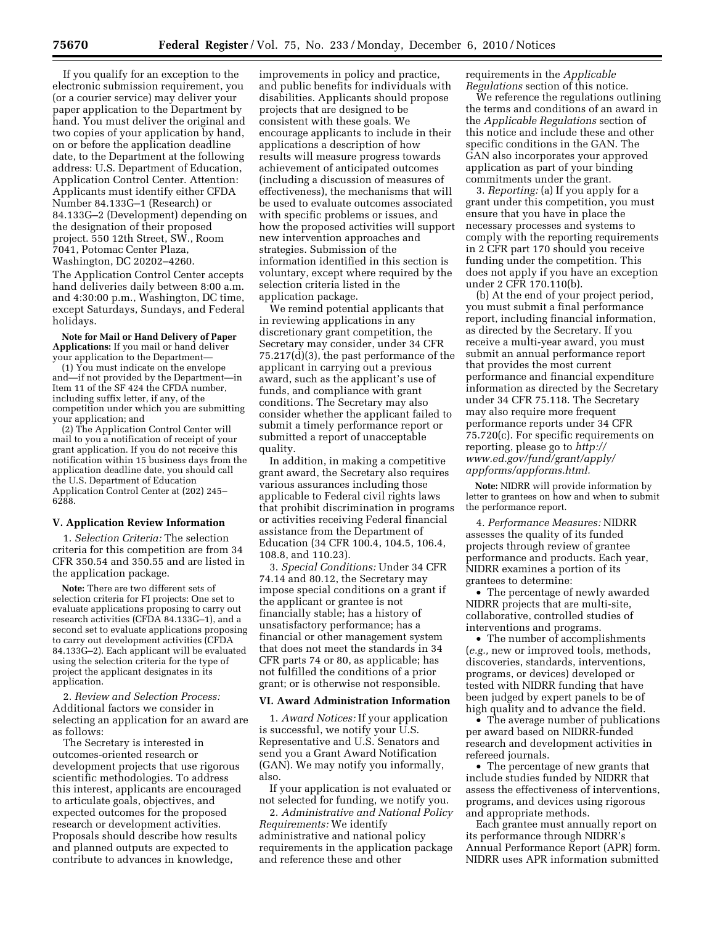If you qualify for an exception to the electronic submission requirement, you (or a courier service) may deliver your paper application to the Department by hand. You must deliver the original and two copies of your application by hand, on or before the application deadline date, to the Department at the following address: U.S. Department of Education, Application Control Center. Attention: Applicants must identify either CFDA Number 84.133G–1 (Research) or 84.133G–2 (Development) depending on the designation of their proposed project. 550 12th Street, SW., Room 7041, Potomac Center Plaza, Washington, DC 20202–4260.

The Application Control Center accepts hand deliveries daily between 8:00 a.m. and 4:30:00 p.m., Washington, DC time, except Saturdays, Sundays, and Federal holidays.

**Note for Mail or Hand Delivery of Paper Applications:** If you mail or hand deliver your application to the Department—

 $(1)$  You must indicate on the envelope and—if not provided by the Department—in Item 11 of the SF 424 the CFDA number, including suffix letter, if any, of the competition under which you are submitting your application; and

(2) The Application Control Center will mail to you a notification of receipt of your grant application. If you do not receive this notification within 15 business days from the application deadline date, you should call the U.S. Department of Education Application Control Center at (202) 245– 6288.

#### **V. Application Review Information**

1. *Selection Criteria:* The selection criteria for this competition are from 34 CFR 350.54 and 350.55 and are listed in the application package.

**Note:** There are two different sets of selection criteria for FI projects: One set to evaluate applications proposing to carry out research activities (CFDA 84.133G–1), and a second set to evaluate applications proposing to carry out development activities (CFDA 84.133G–2). Each applicant will be evaluated using the selection criteria for the type of project the applicant designates in its application.

2. *Review and Selection Process:*  Additional factors we consider in selecting an application for an award are as follows:

The Secretary is interested in outcomes-oriented research or development projects that use rigorous scientific methodologies. To address this interest, applicants are encouraged to articulate goals, objectives, and expected outcomes for the proposed research or development activities. Proposals should describe how results and planned outputs are expected to contribute to advances in knowledge,

improvements in policy and practice, and public benefits for individuals with disabilities. Applicants should propose projects that are designed to be consistent with these goals. We encourage applicants to include in their applications a description of how results will measure progress towards achievement of anticipated outcomes (including a discussion of measures of effectiveness), the mechanisms that will be used to evaluate outcomes associated with specific problems or issues, and how the proposed activities will support new intervention approaches and strategies. Submission of the information identified in this section is voluntary, except where required by the selection criteria listed in the application package.

We remind potential applicants that in reviewing applications in any discretionary grant competition, the Secretary may consider, under 34 CFR 75.217(d)(3), the past performance of the applicant in carrying out a previous award, such as the applicant's use of funds, and compliance with grant conditions. The Secretary may also consider whether the applicant failed to submit a timely performance report or submitted a report of unacceptable quality.

In addition, in making a competitive grant award, the Secretary also requires various assurances including those applicable to Federal civil rights laws that prohibit discrimination in programs or activities receiving Federal financial assistance from the Department of Education (34 CFR 100.4, 104.5, 106.4, 108.8, and 110.23).

3. *Special Conditions:* Under 34 CFR 74.14 and 80.12, the Secretary may impose special conditions on a grant if the applicant or grantee is not financially stable; has a history of unsatisfactory performance; has a financial or other management system that does not meet the standards in 34 CFR parts 74 or 80, as applicable; has not fulfilled the conditions of a prior grant; or is otherwise not responsible.

### **VI. Award Administration Information**

1. *Award Notices:* If your application is successful, we notify your U.S. Representative and U.S. Senators and send you a Grant Award Notification (GAN). We may notify you informally, also.

If your application is not evaluated or not selected for funding, we notify you.

2. *Administrative and National Policy Requirements:* We identify administrative and national policy requirements in the application package and reference these and other

requirements in the *Applicable Regulations* section of this notice.

We reference the regulations outlining the terms and conditions of an award in the *Applicable Regulations* section of this notice and include these and other specific conditions in the GAN. The GAN also incorporates your approved application as part of your binding commitments under the grant.

3. *Reporting:* (a) If you apply for a grant under this competition, you must ensure that you have in place the necessary processes and systems to comply with the reporting requirements in 2 CFR part 170 should you receive funding under the competition. This does not apply if you have an exception under 2 CFR 170.110(b).

(b) At the end of your project period, you must submit a final performance report, including financial information, as directed by the Secretary. If you receive a multi-year award, you must submit an annual performance report that provides the most current performance and financial expenditure information as directed by the Secretary under 34 CFR 75.118. The Secretary may also require more frequent performance reports under 34 CFR 75.720(c). For specific requirements on reporting, please go to *[http://](http://www.ed.gov/fund/grant/apply/appforms/appforms.html) [www.ed.gov/fund/grant/apply/](http://www.ed.gov/fund/grant/apply/appforms/appforms.html) [appforms/appforms.html.](http://www.ed.gov/fund/grant/apply/appforms/appforms.html)* 

**Note:** NIDRR will provide information by letter to grantees on how and when to submit the performance report.

4. *Performance Measures:* NIDRR assesses the quality of its funded projects through review of grantee performance and products. Each year, NIDRR examines a portion of its grantees to determine:

• The percentage of newly awarded NIDRR projects that are multi-site, collaborative, controlled studies of interventions and programs.

• The number of accomplishments (*e.g.,* new or improved tools, methods, discoveries, standards, interventions, programs, or devices) developed or tested with NIDRR funding that have been judged by expert panels to be of high quality and to advance the field.

• The average number of publications per award based on NIDRR-funded research and development activities in refereed journals.

• The percentage of new grants that include studies funded by NIDRR that assess the effectiveness of interventions, programs, and devices using rigorous and appropriate methods.

Each grantee must annually report on its performance through NIDRR's Annual Performance Report (APR) form. NIDRR uses APR information submitted